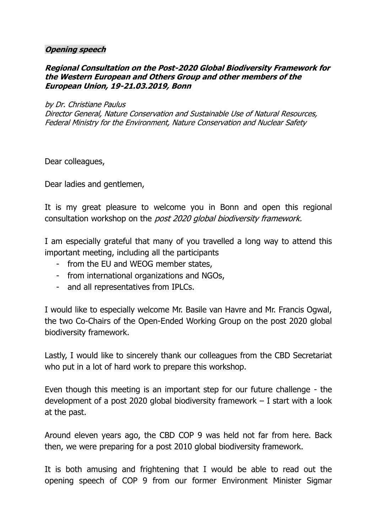## **Opening speech**

## **Regional Consultation on the Post-2020 Global Biodiversity Framework for the Western European and Others Group and other members of the European Union, 19-21.03.2019, Bonn**

## by Dr. Christiane Paulus

Director General, Nature Conservation and Sustainable Use of Natural Resources, Federal Ministry for the Environment, Nature Conservation and Nuclear Safety

Dear colleagues,

Dear ladies and gentlemen,

It is my great pleasure to welcome you in Bonn and open this regional consultation workshop on the post 2020 global biodiversity framework.

I am especially grateful that many of you travelled a long way to attend this important meeting, including all the participants

- from the EU and WEOG member states,
- from international organizations and NGOs,
- and all representatives from IPLCs.

I would like to especially welcome Mr. Basile van Havre and Mr. Francis Ogwal, the two Co-Chairs of the Open-Ended Working Group on the post 2020 global biodiversity framework.

Lastly, I would like to sincerely thank our colleagues from the CBD Secretariat who put in a lot of hard work to prepare this workshop.

Even though this meeting is an important step for our future challenge - the development of a post 2020 global biodiversity framework – I start with a look at the past.

Around eleven years ago, the CBD COP 9 was held not far from here. Back then, we were preparing for a post 2010 global biodiversity framework.

It is both amusing and frightening that I would be able to read out the opening speech of COP 9 from our former Environment Minister Sigmar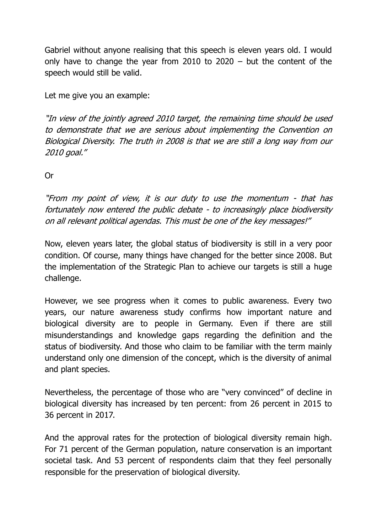Gabriel without anyone realising that this speech is eleven years old. I would only have to change the year from 2010 to 2020 – but the content of the speech would still be valid.

Let me give you an example:

"In view of the jointly agreed 2010 target, the remaining time should be used to demonstrate that we are serious about implementing the Convention on Biological Diversity. The truth in 2008 is that we are still a long way from our 2010 goal."

Or

"From my point of view, it is our duty to use the momentum - that has fortunately now entered the public debate - to increasingly place biodiversity on all relevant political agendas. This must be one of the key messages!"

Now, eleven years later, the global status of biodiversity is still in a very poor condition. Of course, many things have changed for the better since 2008. But the implementation of the Strategic Plan to achieve our targets is still a huge challenge.

However, we see progress when it comes to public awareness. Every two years, our nature awareness study confirms how important nature and biological diversity are to people in Germany. Even if there are still misunderstandings and knowledge gaps regarding the definition and the status of biodiversity. And those who claim to be familiar with the term mainly understand only one dimension of the concept, which is the diversity of animal and plant species.

Nevertheless, the percentage of those who are "very convinced" of decline in biological diversity has increased by ten percent: from 26 percent in 2015 to 36 percent in 2017.

And the approval rates for the protection of biological diversity remain high. For 71 percent of the German population, nature conservation is an important societal task. And 53 percent of respondents claim that they feel personally responsible for the preservation of biological diversity.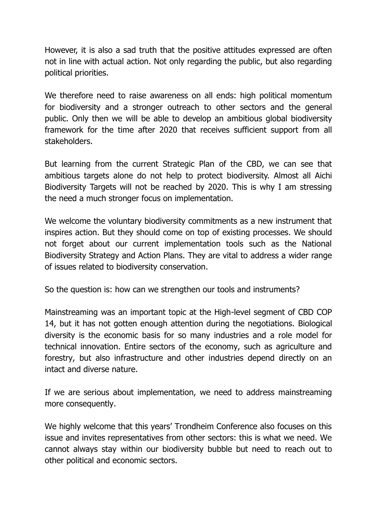However, it is also a sad truth that the positive attitudes expressed are often not in line with actual action. Not only regarding the public, but also regarding political priorities.

We therefore need to raise awareness on all ends: high political momentum for biodiversity and a stronger outreach to other sectors and the general public. Only then we will be able to develop an ambitious global biodiversity framework for the time after 2020 that receives sufficient support from all stakeholders.

But learning from the current Strategic Plan of the CBD, we can see that ambitious targets alone do not help to protect biodiversity. Almost all Aichi Biodiversity Targets will not be reached by 2020. This is why I am stressing the need a much stronger focus on implementation.

We welcome the voluntary biodiversity commitments as a new instrument that inspires action. But they should come on top of existing processes. We should not forget about our current implementation tools such as the National Biodiversity Strategy and Action Plans. They are vital to address a wider range of issues related to biodiversity conservation.

So the question is: how can we strengthen our tools and instruments?

Mainstreaming was an important topic at the High-level segment of CBD COP 14, but it has not gotten enough attention during the negotiations. Biological diversity is the economic basis for so many industries and a role model for technical innovation. Entire sectors of the economy, such as agriculture and forestry, but also infrastructure and other industries depend directly on an intact and diverse nature.

If we are serious about implementation, we need to address mainstreaming more consequently.

We highly welcome that this years' Trondheim Conference also focuses on this issue and invites representatives from other sectors: this is what we need. We cannot always stay within our biodiversity bubble but need to reach out to other political and economic sectors.